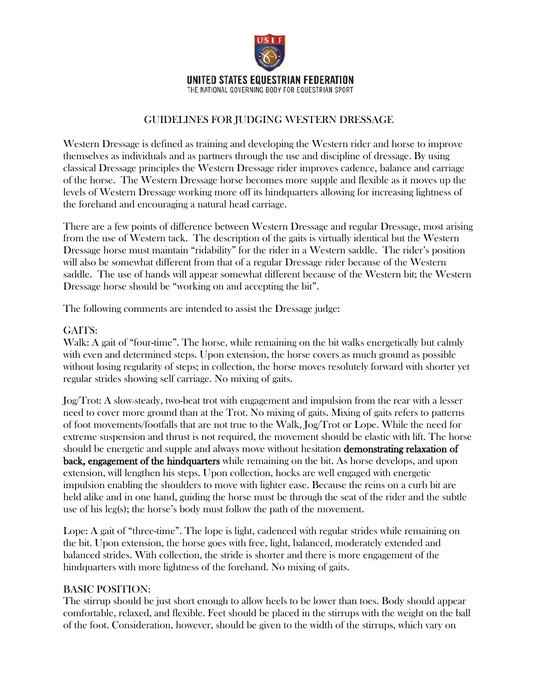

THE NATIONAL GOVERNING BODY FOR EQUESTRIAN SPORT

# GUIDELINES FOR JUDGING WESTERN DRESSAGE

Western Dressage is defined as training and developing the Western rider and horse to improve themselves as individuals and as partners through the use and discipline of dressage. By using classical Dressage principles the Western Dressage rider improves cadence, balance and carriage of the horse. The Western Dressage horse becomes more supple and flexible as it moves up the levels of Western Dressage working more off its hindquarters allowing for increasing lightness of the forehand and encouraging a natural head carriage.

There are a few points of difference between Western Dressage and regular Dressage, most arising from the use of Western tack. The description of the gaits is virtually identical but the Western Dressage horse must maintain "ridability" for the rider in a Western saddle. The rider's position will also be somewhat different from that of a regular Dressage rider because of the Western saddle. The use of hands will appear somewhat different because of the Western bit; the Western Dressage horse should be "working on and accepting the bit".

The following comments are intended to assist the Dressage judge:

## GAITS:

Walk: A gait of "four-time". The horse, while remaining on the bit walks energetically but calmly with even and determined steps. Upon extension, the horse covers as much ground as possible without losing regularity of steps; in collection, the horse moves resolutely forward with shorter yet regular strides showing self carriage. No mixing of gaits.

Jog/Trot: A slow steady, two-beat trot with engagement and impulsion from the rear with a lesser need to cover more ground than at the Trot. No mixing of gaits. Mixing of gaits refers to patterns of foot movements/footfalls that are not true to the Walk, Jog/Trot or Lope. While the need for extreme suspension and thrust is not required, the movement should be elastic with lift. The horse should be energetic and supple and always move without hesitation demonstrating relaxation of back, engagement of the hindquarters while remaining on the bit. As horse develops, and upon extension, will lengthen his steps. Upon collection, hocks are well engaged with energetic impulsion enabling the shoulders to move with lighter ease. Because the reins on a curb bit are held alike and in one hand, guiding the horse must be through the seat of the rider and the subtle use of his leg(s); the horse's body must follow the path of the movement.

Lope: A gait of "three-time". The lope is light, cadenced with regular strides while remaining on the bit. Upon extension, the horse goes with free, light, balanced, moderately extended and balanced strides. With collection, the stride is shorter and there is more engagement of the hindquarters with more lightness of the forehand. No mixing of gaits.

### BASIC POSITION:

The stirrup should be just short enough to allow heels to be lower than toes. Body should appear comfortable, relaxed, and flexible. Feet should be placed in the stirrups with the weight on the ball of the foot. Consideration, however, should be given to the width of the stirrups, which vary on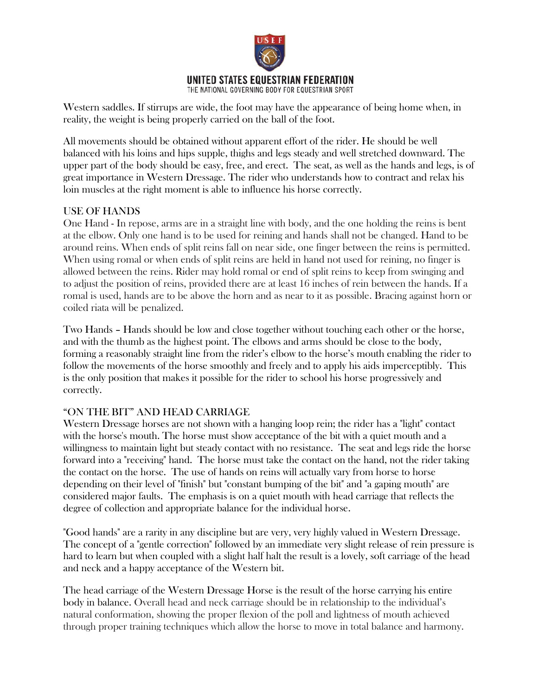

Western saddles. If stirrups are wide, the foot may have the appearance of being home when, in reality, the weight is being properly carried on the ball of the foot.

All movements should be obtained without apparent effort of the rider. He should be well balanced with his loins and hips supple, thighs and legs steady and well stretched downward. The upper part of the body should be easy, free, and erect. The seat, as well as the hands and legs, is of great importance in Western Dressage. The rider who understands how to contract and relax his loin muscles at the right moment is able to influence his horse correctly.

### USE OF HANDS

One Hand - In repose, arms are in a straight line with body, and the one holding the reins is bent at the elbow. Only one hand is to be used for reining and hands shall not be changed. Hand to be around reins. When ends of split reins fall on near side, one finger between the reins is permitted. When using romal or when ends of split reins are held in hand not used for reining, no finger is allowed between the reins. Rider may hold romal or end of split reins to keep from swinging and to adjust the position of reins, provided there are at least 16 inches of rein between the hands. If a romal is used, hands are to be above the horn and as near to it as possible. Bracing against horn or coiled riata will be penalized.

Two Hands – Hands should be low and close together without touching each other or the horse, and with the thumb as the highest point. The elbows and arms should be close to the body, forming a reasonably straight line from the rider's elbow to the horse's mouth enabling the rider to follow the movements of the horse smoothly and freely and to apply his aids imperceptibly. This is the only position that makes it possible for the rider to school his horse progressively and correctly.

### "ON THE BIT" AND HEAD CARRIAGE

Western Dressage horses are not shown with a hanging loop rein; the rider has a "light" contact with the horse's mouth. The horse must show acceptance of the bit with a quiet mouth and a willingness to maintain light but steady contact with no resistance. The seat and legs ride the horse forward into a "receiving" hand. The horse must take the contact on the hand, not the rider taking the contact on the horse. The use of hands on reins will actually vary from horse to horse depending on their level of "finish" but "constant bumping of the bit" and "a gaping mouth" are considered major faults. The emphasis is on a quiet mouth with head carriage that reflects the degree of collection and appropriate balance for the individual horse.

"Good hands" are a rarity in any discipline but are very, very highly valued in Western Dressage. The concept of a "gentle correction" followed by an immediate very slight release of rein pressure is hard to learn but when coupled with a slight half halt the result is a lovely, soft carriage of the head and neck and a happy acceptance of the Western bit.

The head carriage of the Western Dressage Horse is the result of the horse carrying his entire body in balance. Overall head and neck carriage should be in relationship to the individual's natural conformation, showing the proper flexion of the poll and lightness of mouth achieved through proper training techniques which allow the horse to move in total balance and harmony.